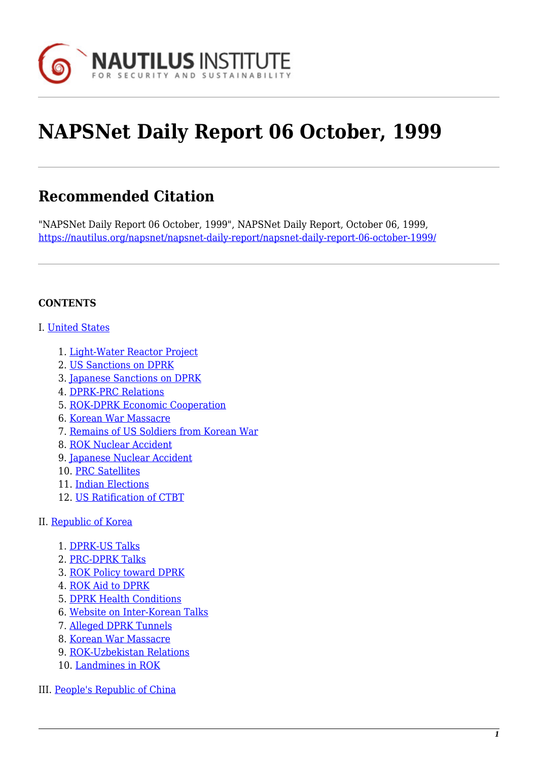

# **NAPSNet Daily Report 06 October, 1999**

# **Recommended Citation**

"NAPSNet Daily Report 06 October, 1999", NAPSNet Daily Report, October 06, 1999, <https://nautilus.org/napsnet/napsnet-daily-report/napsnet-daily-report-06-october-1999/>

#### **CONTENTS**

#### I. [United States](#page-1-0)

- 1. [Light-Water Reactor Project](#page-1-1)
- 2. [US Sanctions on DPRK](#page-1-2)
- 3. [Japanese Sanctions on DPRK](#page-1-3)
- 4. [DPRK-PRC Relations](#page-1-4)
- 5. [ROK-DPRK Economic Cooperation](#page-2-0)
- 6. [Korean War Massacre](#page-2-1)
- 7. [Remains of US Soldiers from Korean War](#page-2-2)
- 8. [ROK Nuclear Accident](#page-3-0)
- 9. [Japanese Nuclear Accident](#page-3-1)
- 10. [PRC Satellites](#page-3-2)
- 11. [Indian Elections](#page-4-0)
- 12. [US Ratification of CTBT](#page-4-1)
- II. [Republic of Korea](#page-4-2)
	- 1. [DPRK-US Talks](#page-5-0)
	- 2. [PRC-DPRK Talks](#page-5-1)
	- 3. [ROK Policy toward DPRK](#page-5-2)
	- 4. [ROK Aid to DPRK](#page-6-0)
	- 5. [DPRK Health Conditions](#page-6-1)
	- 6. [Website on Inter-Korean Talks](#page-6-2)
	- 7. [Alleged DPRK Tunnels](#page-7-0)
	- 8. [Korean War Massacre](#page-7-1)
	- 9. [ROK-Uzbekistan Relations](#page-7-2)
	- 10. [Landmines in ROK](#page-8-0)
- III. [People's Republic of China](#page-8-1)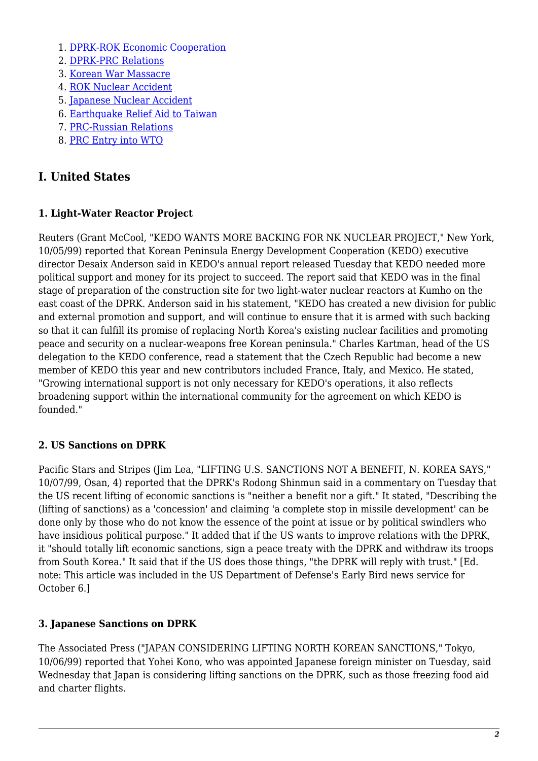- 1. [DPRK-ROK Economic Cooperation](#page-8-2)
- 2. [DPRK-PRC Relations](#page-8-3)
- 3. [Korean War Massacre](#page-9-0)
- 4. [ROK Nuclear Accident](#page-9-1)
- 5. [Japanese Nuclear Accident](#page-9-2)
- 6. [Earthquake Relief Aid to Taiwan](#page-10-0)
- 7. [PRC-Russian Relations](#page-10-1)
- 8. [PRC Entry into WTO](#page-10-2)

# <span id="page-1-0"></span>**I. United States**

# <span id="page-1-1"></span>**1. Light-Water Reactor Project**

Reuters (Grant McCool, "KEDO WANTS MORE BACKING FOR NK NUCLEAR PROJECT," New York, 10/05/99) reported that Korean Peninsula Energy Development Cooperation (KEDO) executive director Desaix Anderson said in KEDO's annual report released Tuesday that KEDO needed more political support and money for its project to succeed. The report said that KEDO was in the final stage of preparation of the construction site for two light-water nuclear reactors at Kumho on the east coast of the DPRK. Anderson said in his statement, "KEDO has created a new division for public and external promotion and support, and will continue to ensure that it is armed with such backing so that it can fulfill its promise of replacing North Korea's existing nuclear facilities and promoting peace and security on a nuclear-weapons free Korean peninsula." Charles Kartman, head of the US delegation to the KEDO conference, read a statement that the Czech Republic had become a new member of KEDO this year and new contributors included France, Italy, and Mexico. He stated, "Growing international support is not only necessary for KEDO's operations, it also reflects broadening support within the international community for the agreement on which KEDO is founded."

# <span id="page-1-2"></span>**2. US Sanctions on DPRK**

Pacific Stars and Stripes (Jim Lea, "LIFTING U.S. SANCTIONS NOT A BENEFIT, N. KOREA SAYS," 10/07/99, Osan, 4) reported that the DPRK's Rodong Shinmun said in a commentary on Tuesday that the US recent lifting of economic sanctions is "neither a benefit nor a gift." It stated, "Describing the (lifting of sanctions) as a 'concession' and claiming 'a complete stop in missile development' can be done only by those who do not know the essence of the point at issue or by political swindlers who have insidious political purpose." It added that if the US wants to improve relations with the DPRK, it "should totally lift economic sanctions, sign a peace treaty with the DPRK and withdraw its troops from South Korea." It said that if the US does those things, "the DPRK will reply with trust." [Ed. note: This article was included in the US Department of Defense's Early Bird news service for October 6.]

# <span id="page-1-3"></span>**3. Japanese Sanctions on DPRK**

<span id="page-1-4"></span>The Associated Press ("JAPAN CONSIDERING LIFTING NORTH KOREAN SANCTIONS," Tokyo, 10/06/99) reported that Yohei Kono, who was appointed Japanese foreign minister on Tuesday, said Wednesday that Japan is considering lifting sanctions on the DPRK, such as those freezing food aid and charter flights.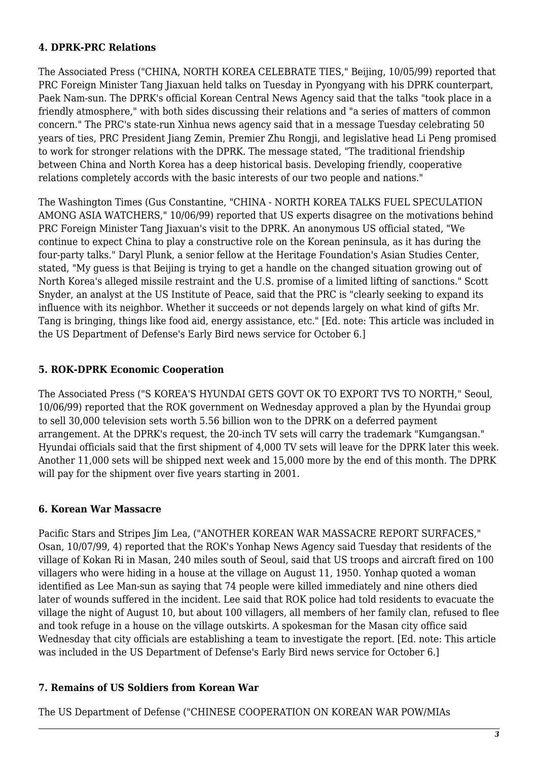#### **4. DPRK-PRC Relations**

The Associated Press ("CHINA, NORTH KOREA CELEBRATE TIES," Beijing, 10/05/99) reported that PRC Foreign Minister Tang Jiaxuan held talks on Tuesday in Pyongyang with his DPRK counterpart, Paek Nam-sun. The DPRK's official Korean Central News Agency said that the talks "took place in a friendly atmosphere," with both sides discussing their relations and "a series of matters of common concern." The PRC's state-run Xinhua news agency said that in a message Tuesday celebrating 50 years of ties, PRC President Jiang Zemin, Premier Zhu Rongji, and legislative head Li Peng promised to work for stronger relations with the DPRK. The message stated, "The traditional friendship between China and North Korea has a deep historical basis. Developing friendly, cooperative relations completely accords with the basic interests of our two people and nations."

The Washington Times (Gus Constantine, "CHINA - NORTH KOREA TALKS FUEL SPECULATION AMONG ASIA WATCHERS," 10/06/99) reported that US experts disagree on the motivations behind PRC Foreign Minister Tang Jiaxuan's visit to the DPRK. An anonymous US official stated, "We continue to expect China to play a constructive role on the Korean peninsula, as it has during the four-party talks." Daryl Plunk, a senior fellow at the Heritage Foundation's Asian Studies Center, stated, "My guess is that Beijing is trying to get a handle on the changed situation growing out of North Korea's alleged missile restraint and the U.S. promise of a limited lifting of sanctions." Scott Snyder, an analyst at the US Institute of Peace, said that the PRC is "clearly seeking to expand its influence with its neighbor. Whether it succeeds or not depends largely on what kind of gifts Mr. Tang is bringing, things like food aid, energy assistance, etc." [Ed. note: This article was included in the US Department of Defense's Early Bird news service for October 6.]

#### <span id="page-2-0"></span>**5. ROK-DPRK Economic Cooperation**

The Associated Press ("S KOREA'S HYUNDAI GETS GOVT OK TO EXPORT TVS TO NORTH," Seoul, 10/06/99) reported that the ROK government on Wednesday approved a plan by the Hyundai group to sell 30,000 television sets worth 5.56 billion won to the DPRK on a deferred payment arrangement. At the DPRK's request, the 20-inch TV sets will carry the trademark "Kumgangsan." Hyundai officials said that the first shipment of 4,000 TV sets will leave for the DPRK later this week. Another 11,000 sets will be shipped next week and 15,000 more by the end of this month. The DPRK will pay for the shipment over five years starting in 2001.

#### <span id="page-2-1"></span>**6. Korean War Massacre**

Pacific Stars and Stripes Jim Lea, ("ANOTHER KOREAN WAR MASSACRE REPORT SURFACES," Osan, 10/07/99, 4) reported that the ROK's Yonhap News Agency said Tuesday that residents of the village of Kokan Ri in Masan, 240 miles south of Seoul, said that US troops and aircraft fired on 100 villagers who were hiding in a house at the village on August 11, 1950. Yonhap quoted a woman identified as Lee Man-sun as saying that 74 people were killed immediately and nine others died later of wounds suffered in the incident. Lee said that ROK police had told residents to evacuate the village the night of August 10, but about 100 villagers, all members of her family clan, refused to flee and took refuge in a house on the village outskirts. A spokesman for the Masan city office said Wednesday that city officials are establishing a team to investigate the report. [Ed. note: This article was included in the US Department of Defense's Early Bird news service for October 6.]

#### <span id="page-2-2"></span>**7. Remains of US Soldiers from Korean War**

The US Department of Defense ("CHINESE COOPERATION ON KOREAN WAR POW/MIAs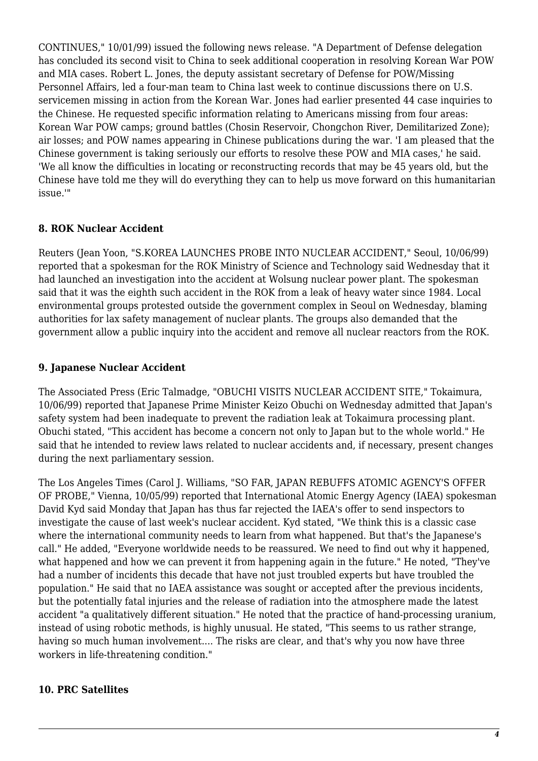CONTINUES," 10/01/99) issued the following news release. "A Department of Defense delegation has concluded its second visit to China to seek additional cooperation in resolving Korean War POW and MIA cases. Robert L. Jones, the deputy assistant secretary of Defense for POW/Missing Personnel Affairs, led a four-man team to China last week to continue discussions there on U.S. servicemen missing in action from the Korean War. Jones had earlier presented 44 case inquiries to the Chinese. He requested specific information relating to Americans missing from four areas: Korean War POW camps; ground battles (Chosin Reservoir, Chongchon River, Demilitarized Zone); air losses; and POW names appearing in Chinese publications during the war. 'I am pleased that the Chinese government is taking seriously our efforts to resolve these POW and MIA cases,' he said. 'We all know the difficulties in locating or reconstructing records that may be 45 years old, but the Chinese have told me they will do everything they can to help us move forward on this humanitarian issue.'"

#### <span id="page-3-0"></span>**8. ROK Nuclear Accident**

Reuters (Jean Yoon, "S.KOREA LAUNCHES PROBE INTO NUCLEAR ACCIDENT," Seoul, 10/06/99) reported that a spokesman for the ROK Ministry of Science and Technology said Wednesday that it had launched an investigation into the accident at Wolsung nuclear power plant. The spokesman said that it was the eighth such accident in the ROK from a leak of heavy water since 1984. Local environmental groups protested outside the government complex in Seoul on Wednesday, blaming authorities for lax safety management of nuclear plants. The groups also demanded that the government allow a public inquiry into the accident and remove all nuclear reactors from the ROK.

#### <span id="page-3-1"></span>**9. Japanese Nuclear Accident**

The Associated Press (Eric Talmadge, "OBUCHI VISITS NUCLEAR ACCIDENT SITE," Tokaimura, 10/06/99) reported that Japanese Prime Minister Keizo Obuchi on Wednesday admitted that Japan's safety system had been inadequate to prevent the radiation leak at Tokaimura processing plant. Obuchi stated, "This accident has become a concern not only to Japan but to the whole world." He said that he intended to review laws related to nuclear accidents and, if necessary, present changes during the next parliamentary session.

The Los Angeles Times (Carol J. Williams, "SO FAR, JAPAN REBUFFS ATOMIC AGENCY'S OFFER OF PROBE," Vienna, 10/05/99) reported that International Atomic Energy Agency (IAEA) spokesman David Kyd said Monday that Japan has thus far rejected the IAEA's offer to send inspectors to investigate the cause of last week's nuclear accident. Kyd stated, "We think this is a classic case where the international community needs to learn from what happened. But that's the Japanese's call." He added, "Everyone worldwide needs to be reassured. We need to find out why it happened, what happened and how we can prevent it from happening again in the future." He noted, "They've had a number of incidents this decade that have not just troubled experts but have troubled the population." He said that no IAEA assistance was sought or accepted after the previous incidents, but the potentially fatal injuries and the release of radiation into the atmosphere made the latest accident "a qualitatively different situation." He noted that the practice of hand-processing uranium, instead of using robotic methods, is highly unusual. He stated, "This seems to us rather strange, having so much human involvement.... The risks are clear, and that's why you now have three workers in life-threatening condition."

#### <span id="page-3-2"></span>**10. PRC Satellites**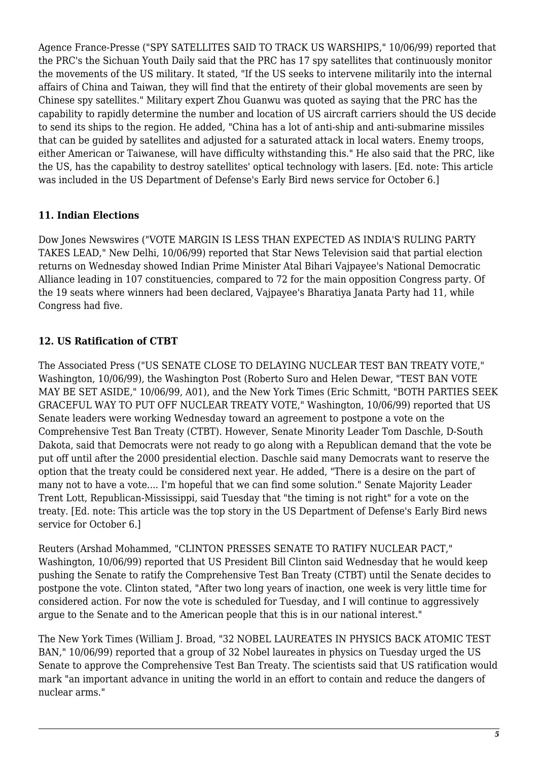Agence France-Presse ("SPY SATELLITES SAID TO TRACK US WARSHIPS," 10/06/99) reported that the PRC's the Sichuan Youth Daily said that the PRC has 17 spy satellites that continuously monitor the movements of the US military. It stated, "If the US seeks to intervene militarily into the internal affairs of China and Taiwan, they will find that the entirety of their global movements are seen by Chinese spy satellites." Military expert Zhou Guanwu was quoted as saying that the PRC has the capability to rapidly determine the number and location of US aircraft carriers should the US decide to send its ships to the region. He added, "China has a lot of anti-ship and anti-submarine missiles that can be guided by satellites and adjusted for a saturated attack in local waters. Enemy troops, either American or Taiwanese, will have difficulty withstanding this." He also said that the PRC, like the US, has the capability to destroy satellites' optical technology with lasers. [Ed. note: This article was included in the US Department of Defense's Early Bird news service for October 6.]

#### <span id="page-4-0"></span>**11. Indian Elections**

Dow Jones Newswires ("VOTE MARGIN IS LESS THAN EXPECTED AS INDIA'S RULING PARTY TAKES LEAD," New Delhi, 10/06/99) reported that Star News Television said that partial election returns on Wednesday showed Indian Prime Minister Atal Bihari Vajpayee's National Democratic Alliance leading in 107 constituencies, compared to 72 for the main opposition Congress party. Of the 19 seats where winners had been declared, Vajpayee's Bharatiya Janata Party had 11, while Congress had five.

# <span id="page-4-1"></span>**12. US Ratification of CTBT**

The Associated Press ("US SENATE CLOSE TO DELAYING NUCLEAR TEST BAN TREATY VOTE," Washington, 10/06/99), the Washington Post (Roberto Suro and Helen Dewar, "TEST BAN VOTE MAY BE SET ASIDE," 10/06/99, A01), and the New York Times (Eric Schmitt, "BOTH PARTIES SEEK GRACEFUL WAY TO PUT OFF NUCLEAR TREATY VOTE," Washington, 10/06/99) reported that US Senate leaders were working Wednesday toward an agreement to postpone a vote on the Comprehensive Test Ban Treaty (CTBT). However, Senate Minority Leader Tom Daschle, D-South Dakota, said that Democrats were not ready to go along with a Republican demand that the vote be put off until after the 2000 presidential election. Daschle said many Democrats want to reserve the option that the treaty could be considered next year. He added, "There is a desire on the part of many not to have a vote.... I'm hopeful that we can find some solution." Senate Majority Leader Trent Lott, Republican-Mississippi, said Tuesday that "the timing is not right" for a vote on the treaty. [Ed. note: This article was the top story in the US Department of Defense's Early Bird news service for October 6.]

Reuters (Arshad Mohammed, "CLINTON PRESSES SENATE TO RATIFY NUCLEAR PACT," Washington, 10/06/99) reported that US President Bill Clinton said Wednesday that he would keep pushing the Senate to ratify the Comprehensive Test Ban Treaty (CTBT) until the Senate decides to postpone the vote. Clinton stated, "After two long years of inaction, one week is very little time for considered action. For now the vote is scheduled for Tuesday, and I will continue to aggressively argue to the Senate and to the American people that this is in our national interest."

<span id="page-4-2"></span>The New York Times (William J. Broad, "32 NOBEL LAUREATES IN PHYSICS BACK ATOMIC TEST BAN," 10/06/99) reported that a group of 32 Nobel laureates in physics on Tuesday urged the US Senate to approve the Comprehensive Test Ban Treaty. The scientists said that US ratification would mark "an important advance in uniting the world in an effort to contain and reduce the dangers of nuclear arms."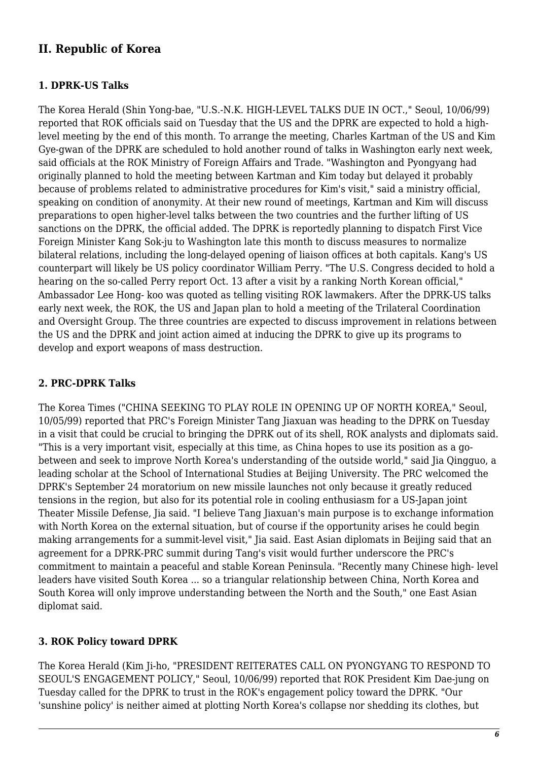# **II. Republic of Korea**

#### <span id="page-5-0"></span>**1. DPRK-US Talks**

The Korea Herald (Shin Yong-bae, "U.S.-N.K. HIGH-LEVEL TALKS DUE IN OCT.," Seoul, 10/06/99) reported that ROK officials said on Tuesday that the US and the DPRK are expected to hold a highlevel meeting by the end of this month. To arrange the meeting, Charles Kartman of the US and Kim Gye-gwan of the DPRK are scheduled to hold another round of talks in Washington early next week, said officials at the ROK Ministry of Foreign Affairs and Trade. "Washington and Pyongyang had originally planned to hold the meeting between Kartman and Kim today but delayed it probably because of problems related to administrative procedures for Kim's visit," said a ministry official, speaking on condition of anonymity. At their new round of meetings, Kartman and Kim will discuss preparations to open higher-level talks between the two countries and the further lifting of US sanctions on the DPRK, the official added. The DPRK is reportedly planning to dispatch First Vice Foreign Minister Kang Sok-ju to Washington late this month to discuss measures to normalize bilateral relations, including the long-delayed opening of liaison offices at both capitals. Kang's US counterpart will likely be US policy coordinator William Perry. "The U.S. Congress decided to hold a hearing on the so-called Perry report Oct. 13 after a visit by a ranking North Korean official," Ambassador Lee Hong- koo was quoted as telling visiting ROK lawmakers. After the DPRK-US talks early next week, the ROK, the US and Japan plan to hold a meeting of the Trilateral Coordination and Oversight Group. The three countries are expected to discuss improvement in relations between the US and the DPRK and joint action aimed at inducing the DPRK to give up its programs to develop and export weapons of mass destruction.

#### <span id="page-5-1"></span>**2. PRC-DPRK Talks**

The Korea Times ("CHINA SEEKING TO PLAY ROLE IN OPENING UP OF NORTH KOREA," Seoul, 10/05/99) reported that PRC's Foreign Minister Tang Jiaxuan was heading to the DPRK on Tuesday in a visit that could be crucial to bringing the DPRK out of its shell, ROK analysts and diplomats said. "This is a very important visit, especially at this time, as China hopes to use its position as a gobetween and seek to improve North Korea's understanding of the outside world," said Jia Qingguo, a leading scholar at the School of International Studies at Beijing University. The PRC welcomed the DPRK's September 24 moratorium on new missile launches not only because it greatly reduced tensions in the region, but also for its potential role in cooling enthusiasm for a US-Japan joint Theater Missile Defense, Jia said. "I believe Tang Jiaxuan's main purpose is to exchange information with North Korea on the external situation, but of course if the opportunity arises he could begin making arrangements for a summit-level visit," Jia said. East Asian diplomats in Beijing said that an agreement for a DPRK-PRC summit during Tang's visit would further underscore the PRC's commitment to maintain a peaceful and stable Korean Peninsula. "Recently many Chinese high- level leaders have visited South Korea ... so a triangular relationship between China, North Korea and South Korea will only improve understanding between the North and the South," one East Asian diplomat said.

#### <span id="page-5-2"></span>**3. ROK Policy toward DPRK**

The Korea Herald (Kim Ji-ho, "PRESIDENT REITERATES CALL ON PYONGYANG TO RESPOND TO SEOUL'S ENGAGEMENT POLICY," Seoul, 10/06/99) reported that ROK President Kim Dae-jung on Tuesday called for the DPRK to trust in the ROK's engagement policy toward the DPRK. "Our 'sunshine policy' is neither aimed at plotting North Korea's collapse nor shedding its clothes, but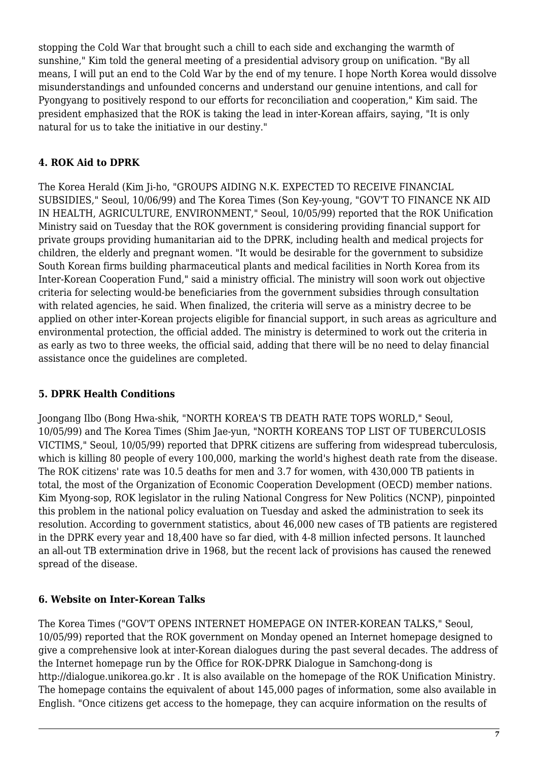stopping the Cold War that brought such a chill to each side and exchanging the warmth of sunshine," Kim told the general meeting of a presidential advisory group on unification. "By all means, I will put an end to the Cold War by the end of my tenure. I hope North Korea would dissolve misunderstandings and unfounded concerns and understand our genuine intentions, and call for Pyongyang to positively respond to our efforts for reconciliation and cooperation," Kim said. The president emphasized that the ROK is taking the lead in inter-Korean affairs, saying, "It is only natural for us to take the initiative in our destiny."

# <span id="page-6-0"></span>**4. ROK Aid to DPRK**

The Korea Herald (Kim Ji-ho, "GROUPS AIDING N.K. EXPECTED TO RECEIVE FINANCIAL SUBSIDIES," Seoul, 10/06/99) and The Korea Times (Son Key-young, "GOV'T TO FINANCE NK AID IN HEALTH, AGRICULTURE, ENVIRONMENT," Seoul, 10/05/99) reported that the ROK Unification Ministry said on Tuesday that the ROK government is considering providing financial support for private groups providing humanitarian aid to the DPRK, including health and medical projects for children, the elderly and pregnant women. "It would be desirable for the government to subsidize South Korean firms building pharmaceutical plants and medical facilities in North Korea from its Inter-Korean Cooperation Fund," said a ministry official. The ministry will soon work out objective criteria for selecting would-be beneficiaries from the government subsidies through consultation with related agencies, he said. When finalized, the criteria will serve as a ministry decree to be applied on other inter-Korean projects eligible for financial support, in such areas as agriculture and environmental protection, the official added. The ministry is determined to work out the criteria in as early as two to three weeks, the official said, adding that there will be no need to delay financial assistance once the guidelines are completed.

# <span id="page-6-1"></span>**5. DPRK Health Conditions**

Joongang Ilbo (Bong Hwa-shik, "NORTH KOREA'S TB DEATH RATE TOPS WORLD," Seoul, 10/05/99) and The Korea Times (Shim Jae-yun, "NORTH KOREANS TOP LIST OF TUBERCULOSIS VICTIMS," Seoul, 10/05/99) reported that DPRK citizens are suffering from widespread tuberculosis, which is killing 80 people of every 100,000, marking the world's highest death rate from the disease. The ROK citizens' rate was 10.5 deaths for men and 3.7 for women, with 430,000 TB patients in total, the most of the Organization of Economic Cooperation Development (OECD) member nations. Kim Myong-sop, ROK legislator in the ruling National Congress for New Politics (NCNP), pinpointed this problem in the national policy evaluation on Tuesday and asked the administration to seek its resolution. According to government statistics, about 46,000 new cases of TB patients are registered in the DPRK every year and 18,400 have so far died, with 4-8 million infected persons. It launched an all-out TB extermination drive in 1968, but the recent lack of provisions has caused the renewed spread of the disease.

# <span id="page-6-2"></span>**6. Website on Inter-Korean Talks**

The Korea Times ("GOV'T OPENS INTERNET HOMEPAGE ON INTER-KOREAN TALKS," Seoul, 10/05/99) reported that the ROK government on Monday opened an Internet homepage designed to give a comprehensive look at inter-Korean dialogues during the past several decades. The address of the Internet homepage run by the Office for ROK-DPRK Dialogue in Samchong-dong is http://dialogue.unikorea.go.kr . It is also available on the homepage of the ROK Unification Ministry. The homepage contains the equivalent of about 145,000 pages of information, some also available in English. "Once citizens get access to the homepage, they can acquire information on the results of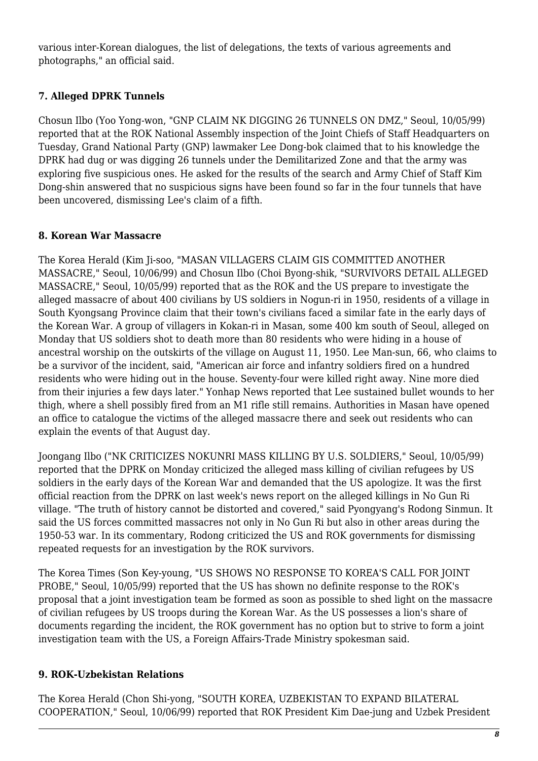various inter-Korean dialogues, the list of delegations, the texts of various agreements and photographs," an official said.

# <span id="page-7-0"></span>**7. Alleged DPRK Tunnels**

Chosun Ilbo (Yoo Yong-won, "GNP CLAIM NK DIGGING 26 TUNNELS ON DMZ," Seoul, 10/05/99) reported that at the ROK National Assembly inspection of the Joint Chiefs of Staff Headquarters on Tuesday, Grand National Party (GNP) lawmaker Lee Dong-bok claimed that to his knowledge the DPRK had dug or was digging 26 tunnels under the Demilitarized Zone and that the army was exploring five suspicious ones. He asked for the results of the search and Army Chief of Staff Kim Dong-shin answered that no suspicious signs have been found so far in the four tunnels that have been uncovered, dismissing Lee's claim of a fifth.

#### <span id="page-7-1"></span>**8. Korean War Massacre**

The Korea Herald (Kim Ji-soo, "MASAN VILLAGERS CLAIM GIS COMMITTED ANOTHER MASSACRE," Seoul, 10/06/99) and Chosun Ilbo (Choi Byong-shik, "SURVIVORS DETAIL ALLEGED MASSACRE," Seoul, 10/05/99) reported that as the ROK and the US prepare to investigate the alleged massacre of about 400 civilians by US soldiers in Nogun-ri in 1950, residents of a village in South Kyongsang Province claim that their town's civilians faced a similar fate in the early days of the Korean War. A group of villagers in Kokan-ri in Masan, some 400 km south of Seoul, alleged on Monday that US soldiers shot to death more than 80 residents who were hiding in a house of ancestral worship on the outskirts of the village on August 11, 1950. Lee Man-sun, 66, who claims to be a survivor of the incident, said, "American air force and infantry soldiers fired on a hundred residents who were hiding out in the house. Seventy-four were killed right away. Nine more died from their injuries a few days later." Yonhap News reported that Lee sustained bullet wounds to her thigh, where a shell possibly fired from an M1 rifle still remains. Authorities in Masan have opened an office to catalogue the victims of the alleged massacre there and seek out residents who can explain the events of that August day.

Joongang Ilbo ("NK CRITICIZES NOKUNRI MASS KILLING BY U.S. SOLDIERS," Seoul, 10/05/99) reported that the DPRK on Monday criticized the alleged mass killing of civilian refugees by US soldiers in the early days of the Korean War and demanded that the US apologize. It was the first official reaction from the DPRK on last week's news report on the alleged killings in No Gun Ri village. "The truth of history cannot be distorted and covered," said Pyongyang's Rodong Sinmun. It said the US forces committed massacres not only in No Gun Ri but also in other areas during the 1950-53 war. In its commentary, Rodong criticized the US and ROK governments for dismissing repeated requests for an investigation by the ROK survivors.

The Korea Times (Son Key-young, "US SHOWS NO RESPONSE TO KOREA'S CALL FOR JOINT PROBE," Seoul, 10/05/99) reported that the US has shown no definite response to the ROK's proposal that a joint investigation team be formed as soon as possible to shed light on the massacre of civilian refugees by US troops during the Korean War. As the US possesses a lion's share of documents regarding the incident, the ROK government has no option but to strive to form a joint investigation team with the US, a Foreign Affairs-Trade Ministry spokesman said.

# <span id="page-7-2"></span>**9. ROK-Uzbekistan Relations**

The Korea Herald (Chon Shi-yong, "SOUTH KOREA, UZBEKISTAN TO EXPAND BILATERAL COOPERATION," Seoul, 10/06/99) reported that ROK President Kim Dae-jung and Uzbek President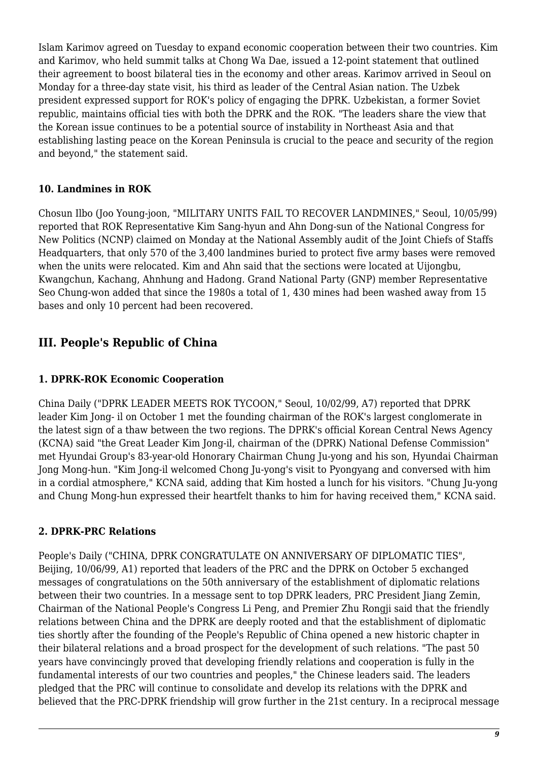Islam Karimov agreed on Tuesday to expand economic cooperation between their two countries. Kim and Karimov, who held summit talks at Chong Wa Dae, issued a 12-point statement that outlined their agreement to boost bilateral ties in the economy and other areas. Karimov arrived in Seoul on Monday for a three-day state visit, his third as leader of the Central Asian nation. The Uzbek president expressed support for ROK's policy of engaging the DPRK. Uzbekistan, a former Soviet republic, maintains official ties with both the DPRK and the ROK. "The leaders share the view that the Korean issue continues to be a potential source of instability in Northeast Asia and that establishing lasting peace on the Korean Peninsula is crucial to the peace and security of the region and beyond," the statement said.

#### <span id="page-8-0"></span>**10. Landmines in ROK**

Chosun Ilbo (Joo Young-joon, "MILITARY UNITS FAIL TO RECOVER LANDMINES," Seoul, 10/05/99) reported that ROK Representative Kim Sang-hyun and Ahn Dong-sun of the National Congress for New Politics (NCNP) claimed on Monday at the National Assembly audit of the Joint Chiefs of Staffs Headquarters, that only 570 of the 3,400 landmines buried to protect five army bases were removed when the units were relocated. Kim and Ahn said that the sections were located at Uijongbu, Kwangchun, Kachang, Ahnhung and Hadong. Grand National Party (GNP) member Representative Seo Chung-won added that since the 1980s a total of 1, 430 mines had been washed away from 15 bases and only 10 percent had been recovered.

# <span id="page-8-1"></span>**III. People's Republic of China**

#### <span id="page-8-2"></span>**1. DPRK-ROK Economic Cooperation**

China Daily ("DPRK LEADER MEETS ROK TYCOON," Seoul, 10/02/99, A7) reported that DPRK leader Kim Jong- il on October 1 met the founding chairman of the ROK's largest conglomerate in the latest sign of a thaw between the two regions. The DPRK's official Korean Central News Agency (KCNA) said "the Great Leader Kim Jong-il, chairman of the (DPRK) National Defense Commission" met Hyundai Group's 83-year-old Honorary Chairman Chung Ju-yong and his son, Hyundai Chairman Jong Mong-hun. "Kim Jong-il welcomed Chong Ju-yong's visit to Pyongyang and conversed with him in a cordial atmosphere," KCNA said, adding that Kim hosted a lunch for his visitors. "Chung Ju-yong and Chung Mong-hun expressed their heartfelt thanks to him for having received them," KCNA said.

#### <span id="page-8-3"></span>**2. DPRK-PRC Relations**

People's Daily ("CHINA, DPRK CONGRATULATE ON ANNIVERSARY OF DIPLOMATIC TIES", Beijing, 10/06/99, A1) reported that leaders of the PRC and the DPRK on October 5 exchanged messages of congratulations on the 50th anniversary of the establishment of diplomatic relations between their two countries. In a message sent to top DPRK leaders, PRC President Jiang Zemin, Chairman of the National People's Congress Li Peng, and Premier Zhu Rongji said that the friendly relations between China and the DPRK are deeply rooted and that the establishment of diplomatic ties shortly after the founding of the People's Republic of China opened a new historic chapter in their bilateral relations and a broad prospect for the development of such relations. "The past 50 years have convincingly proved that developing friendly relations and cooperation is fully in the fundamental interests of our two countries and peoples," the Chinese leaders said. The leaders pledged that the PRC will continue to consolidate and develop its relations with the DPRK and believed that the PRC-DPRK friendship will grow further in the 21st century. In a reciprocal message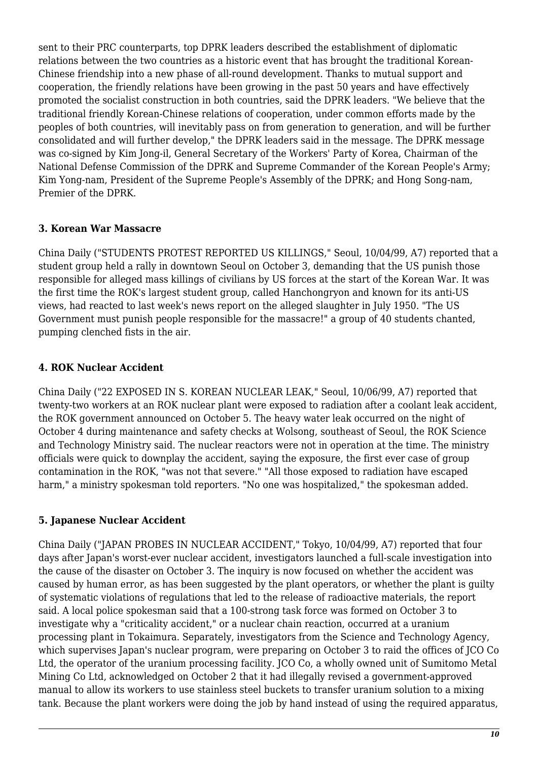sent to their PRC counterparts, top DPRK leaders described the establishment of diplomatic relations between the two countries as a historic event that has brought the traditional Korean-Chinese friendship into a new phase of all-round development. Thanks to mutual support and cooperation, the friendly relations have been growing in the past 50 years and have effectively promoted the socialist construction in both countries, said the DPRK leaders. "We believe that the traditional friendly Korean-Chinese relations of cooperation, under common efforts made by the peoples of both countries, will inevitably pass on from generation to generation, and will be further consolidated and will further develop," the DPRK leaders said in the message. The DPRK message was co-signed by Kim Jong-il, General Secretary of the Workers' Party of Korea, Chairman of the National Defense Commission of the DPRK and Supreme Commander of the Korean People's Army; Kim Yong-nam, President of the Supreme People's Assembly of the DPRK; and Hong Song-nam, Premier of the DPRK.

#### <span id="page-9-0"></span>**3. Korean War Massacre**

China Daily ("STUDENTS PROTEST REPORTED US KILLINGS," Seoul, 10/04/99, A7) reported that a student group held a rally in downtown Seoul on October 3, demanding that the US punish those responsible for alleged mass killings of civilians by US forces at the start of the Korean War. It was the first time the ROK's largest student group, called Hanchongryon and known for its anti-US views, had reacted to last week's news report on the alleged slaughter in July 1950. "The US Government must punish people responsible for the massacre!" a group of 40 students chanted, pumping clenched fists in the air.

# <span id="page-9-1"></span>**4. ROK Nuclear Accident**

China Daily ("22 EXPOSED IN S. KOREAN NUCLEAR LEAK," Seoul, 10/06/99, A7) reported that twenty-two workers at an ROK nuclear plant were exposed to radiation after a coolant leak accident, the ROK government announced on October 5. The heavy water leak occurred on the night of October 4 during maintenance and safety checks at Wolsong, southeast of Seoul, the ROK Science and Technology Ministry said. The nuclear reactors were not in operation at the time. The ministry officials were quick to downplay the accident, saying the exposure, the first ever case of group contamination in the ROK, "was not that severe." "All those exposed to radiation have escaped harm," a ministry spokesman told reporters. "No one was hospitalized," the spokesman added.

# <span id="page-9-2"></span>**5. Japanese Nuclear Accident**

China Daily ("JAPAN PROBES IN NUCLEAR ACCIDENT," Tokyo, 10/04/99, A7) reported that four days after Japan's worst-ever nuclear accident, investigators launched a full-scale investigation into the cause of the disaster on October 3. The inquiry is now focused on whether the accident was caused by human error, as has been suggested by the plant operators, or whether the plant is guilty of systematic violations of regulations that led to the release of radioactive materials, the report said. A local police spokesman said that a 100-strong task force was formed on October 3 to investigate why a "criticality accident," or a nuclear chain reaction, occurred at a uranium processing plant in Tokaimura. Separately, investigators from the Science and Technology Agency, which supervises Japan's nuclear program, were preparing on October 3 to raid the offices of JCO Co Ltd, the operator of the uranium processing facility. JCO Co, a wholly owned unit of Sumitomo Metal Mining Co Ltd, acknowledged on October 2 that it had illegally revised a government-approved manual to allow its workers to use stainless steel buckets to transfer uranium solution to a mixing tank. Because the plant workers were doing the job by hand instead of using the required apparatus,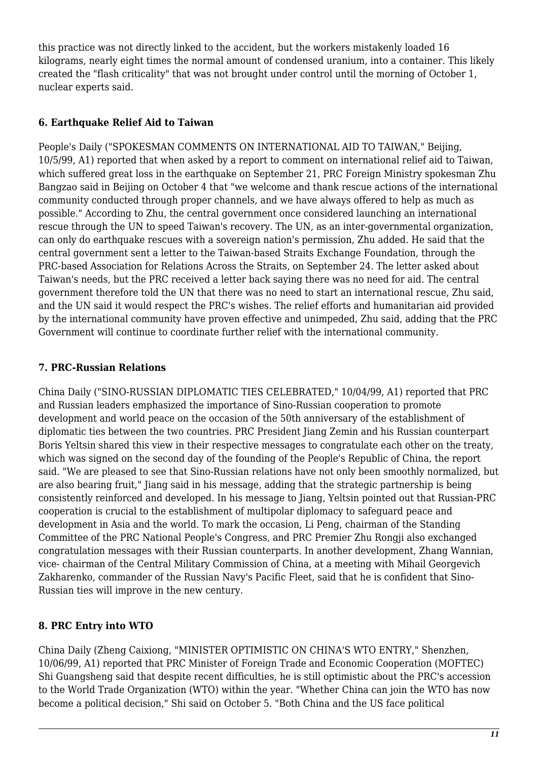this practice was not directly linked to the accident, but the workers mistakenly loaded 16 kilograms, nearly eight times the normal amount of condensed uranium, into a container. This likely created the "flash criticality" that was not brought under control until the morning of October 1, nuclear experts said.

#### <span id="page-10-0"></span>**6. Earthquake Relief Aid to Taiwan**

People's Daily ("SPOKESMAN COMMENTS ON INTERNATIONAL AID TO TAIWAN," Beijing, 10/5/99, A1) reported that when asked by a report to comment on international relief aid to Taiwan, which suffered great loss in the earthquake on September 21, PRC Foreign Ministry spokesman Zhu Bangzao said in Beijing on October 4 that "we welcome and thank rescue actions of the international community conducted through proper channels, and we have always offered to help as much as possible." According to Zhu, the central government once considered launching an international rescue through the UN to speed Taiwan's recovery. The UN, as an inter-governmental organization, can only do earthquake rescues with a sovereign nation's permission, Zhu added. He said that the central government sent a letter to the Taiwan-based Straits Exchange Foundation, through the PRC-based Association for Relations Across the Straits, on September 24. The letter asked about Taiwan's needs, but the PRC received a letter back saying there was no need for aid. The central government therefore told the UN that there was no need to start an international rescue, Zhu said, and the UN said it would respect the PRC's wishes. The relief efforts and humanitarian aid provided by the international community have proven effective and unimpeded, Zhu said, adding that the PRC Government will continue to coordinate further relief with the international community.

# <span id="page-10-1"></span>**7. PRC-Russian Relations**

China Daily ("SINO-RUSSIAN DIPLOMATIC TIES CELEBRATED," 10/04/99, A1) reported that PRC and Russian leaders emphasized the importance of Sino-Russian cooperation to promote development and world peace on the occasion of the 50th anniversary of the establishment of diplomatic ties between the two countries. PRC President Jiang Zemin and his Russian counterpart Boris Yeltsin shared this view in their respective messages to congratulate each other on the treaty, which was signed on the second day of the founding of the People's Republic of China, the report said. "We are pleased to see that Sino-Russian relations have not only been smoothly normalized, but are also bearing fruit," Jiang said in his message, adding that the strategic partnership is being consistently reinforced and developed. In his message to Jiang, Yeltsin pointed out that Russian-PRC cooperation is crucial to the establishment of multipolar diplomacy to safeguard peace and development in Asia and the world. To mark the occasion, Li Peng, chairman of the Standing Committee of the PRC National People's Congress, and PRC Premier Zhu Rongji also exchanged congratulation messages with their Russian counterparts. In another development, Zhang Wannian, vice- chairman of the Central Military Commission of China, at a meeting with Mihail Georgevich Zakharenko, commander of the Russian Navy's Pacific Fleet, said that he is confident that Sino-Russian ties will improve in the new century.

# <span id="page-10-2"></span>**8. PRC Entry into WTO**

China Daily (Zheng Caixiong, "MINISTER OPTIMISTIC ON CHINA'S WTO ENTRY," Shenzhen, 10/06/99, A1) reported that PRC Minister of Foreign Trade and Economic Cooperation (MOFTEC) Shi Guangsheng said that despite recent difficulties, he is still optimistic about the PRC's accession to the World Trade Organization (WTO) within the year. "Whether China can join the WTO has now become a political decision," Shi said on October 5. "Both China and the US face political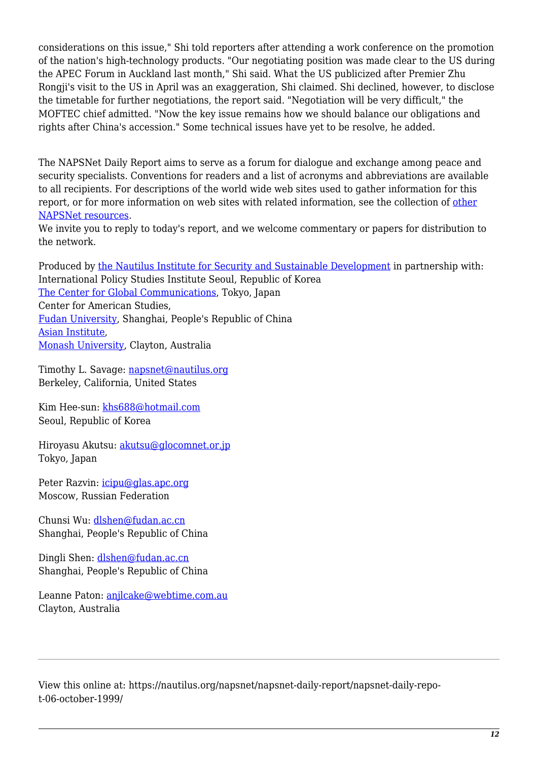considerations on this issue," Shi told reporters after attending a work conference on the promotion of the nation's high-technology products. "Our negotiating position was made clear to the US during the APEC Forum in Auckland last month," Shi said. What the US publicized after Premier Zhu Rongji's visit to the US in April was an exaggeration, Shi claimed. Shi declined, however, to disclose the timetable for further negotiations, the report said. "Negotiation will be very difficult," the MOFTEC chief admitted. "Now the key issue remains how we should balance our obligations and rights after China's accession." Some technical issues have yet to be resolve, he added.

The NAPSNet Daily Report aims to serve as a forum for dialogue and exchange among peace and security specialists. Conventions for readers and a list of acronyms and abbreviations are available to all recipients. For descriptions of the world wide web sites used to gather information for this report, or for more information on web sites with related information, see the collection of [other](http://nautilus.org/kiosk/weblinks.html) [NAPSNet resources.](http://nautilus.org/kiosk/weblinks.html)

We invite you to reply to today's report, and we welcome commentary or papers for distribution to the network.

Produced by [the Nautilus Institute for Security and Sustainable Development](http://nautilus.org/admin/about.html) in partnership with: International Policy Studies Institute Seoul, Republic of Korea [The Center for Global Communications](http://aska.glocom.ac.jp/default.html), Tokyo, Japan Center for American Studies, [Fudan University](http://www.fudan.edu.cn/English/nsindex.html), Shanghai, People's Republic of China [Asian Institute](http://www.arts.monash.edu.au/mai/), [Monash University](http://www.monash.edu.au/), Clayton, Australia

Timothy L. Savage: [napsnet@nautilus.org](mailto:napsnet@nautilus.org) Berkeley, California, United States

Kim Hee-sun: [khs688@hotmail.com](mailto:khs688@hotmail.com) Seoul, Republic of Korea

Hiroyasu Akutsu: [akutsu@glocomnet.or.jp](mailto:akutsu@glocomnet.or.jp) Tokyo, Japan

Peter Razvin: [icipu@glas.apc.org](mailto:icipu@glas.apc.org) Moscow, Russian Federation

Chunsi Wu: [dlshen@fudan.ac.cn](mailto:dlshen@fudan.ac.cn (Chunsi Wu)) Shanghai, People's Republic of China

Dingli Shen: [dlshen@fudan.ac.cn](mailto:dlshen@fudan.ac.cn (Dingli Shen)) Shanghai, People's Republic of China

Leanne Paton: [anjlcake@webtime.com.au](mailto:anjlcake@webtime.com.au) Clayton, Australia

View this online at: https://nautilus.org/napsnet/napsnet-daily-report/napsnet-daily-repot-06-october-1999/